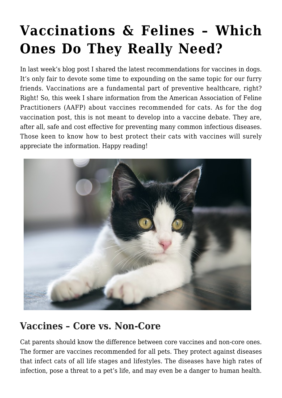# **[Vaccinations & Felines – Which](https://criticalcaredvm.com/vaccinations-felines/) [Ones Do They Really Need?](https://criticalcaredvm.com/vaccinations-felines/)**

In last week's [blog post](http://criticalcaredvm.com/vaccines-dogs/) I shared the latest recommendations for vaccines in dogs. It's only fair to devote some time to expounding on the same topic for our furry friends. Vaccinations are a fundamental part of preventive healthcare, right? Right! So, this week I share information from the American Association of Feline Practitioners (AAFP) about vaccines recommended for cats. As for the dog vaccination post, this is not meant to develop into a vaccine debate. They are, after all, safe and cost effective for preventing many common infectious diseases. Those keen to know how to best protect their cats with vaccines will surely appreciate the information. Happy reading!



#### **Vaccines – Core vs. Non-Core**

Cat parents should know the difference between core vaccines and non-core ones. The former are vaccines recommended for all pets. They protect against diseases that infect cats of all life stages and lifestyles. The diseases have high rates of infection, pose a threat to a pet's life, and may even be a danger to human health.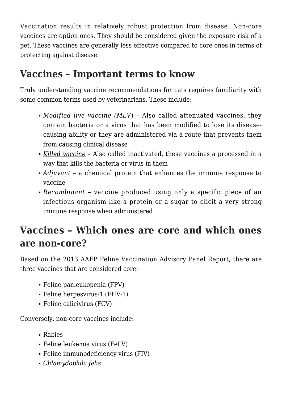Vaccination results in relatively robust protection from disease. Non-core vaccines are option ones. They should be considered given the exposure risk of a pet. These vaccines are generally less effective compared to core ones in terms of protecting against disease.

#### **Vaccines – Important terms to know**

Truly understanding vaccine recommendations for cats requires familiarity with some common terms used by veterinarians. These include:

- *Modified live vaccine (MLV*) Also called attenuated vaccines, they contain bacteria or a virus that has been modified to lose its diseasecausing ability or they are administered via a route that prevents them from causing clinical disease
- *Killed vaccine* Also called inactivated, these vaccines a processed in a way that kills the bacteria or virus in them
- *Adjuvant* a chemical protein that enhances the immune response to vaccine
- *Recombinant* vaccine produced using only a specific piece of an infectious organism like a protein or a sugar to elicit a very strong immune response when administered

## **Vaccines – Which ones are core and which ones are non-core?**

Based on the 2013 AAFP Feline Vaccination Advisory Panel Report, there are three vaccines that are considered core:

- Feline panleukopenia (FPV)
- Feline herpesvirus-1 (FHV-1)
- Feline calicivirus (FCV)

Conversely, non-core vaccines include:

- Rabies
- Feline leukemia virus (FeLV)
- Feline immunodeficiency virus (FIV)
- *Chlamydophila felis*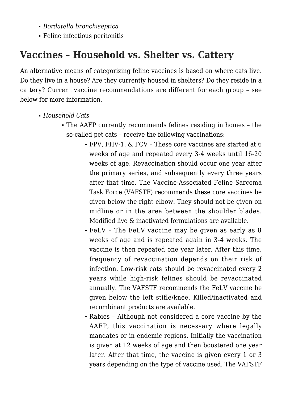- *Bordatella bronchiseptica*
- Feline infectious peritonitis

## **Vaccines – Household vs. Shelter vs. Cattery**

An alternative means of categorizing feline vaccines is based on where cats live. Do they live in a house? Are they currently housed in shelters? Do they reside in a cattery? Current vaccine recommendations are different for each group – see below for more information.

- *Household Cats*
	- The AAFP currently recommends felines residing in homes the so-called pet cats – receive the following vaccinations:
		- FPV, FHV-1, & FCV These core vaccines are started at 6 weeks of age and repeated every 3-4 weeks until 16-20 weeks of age. Revaccination should occur one year after the primary series, and subsequently every three years after that time. The Vaccine-Associated Feline Sarcoma Task Force (VAFSTF) recommends these core vaccines be given below the right elbow. They should not be given on midline or in the area between the shoulder blades. Modified live & inactivated formulations are available.
		- FeLV The FeLV vaccine may be given as early as 8 weeks of age and is repeated again in 3-4 weeks. The vaccine is then repeated one year later. After this time, frequency of revaccination depends on their risk of infection. Low-risk cats should be revaccinated every 2 years while high-risk felines should be revaccinated annually. The VAFSTF recommends the FeLV vaccine be given below the left stifle/knee. Killed/inactivated and recombinant products are available.
		- Rabies Although not considered a core vaccine by the AAFP, this vaccination is necessary where legally mandates or in endemic regions. Initially the vaccination is given at 12 weeks of age and then boostered one year later. After that time, the vaccine is given every 1 or 3 years depending on the type of vaccine used. The VAFSTF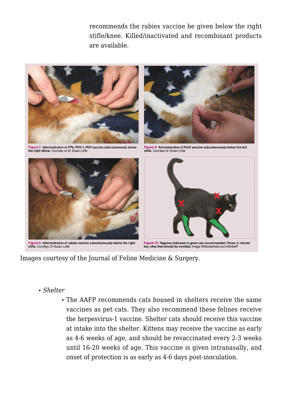recommends the rabies vaccine be given below the right stifle/knee. Killed/inactivated and recombinant products are available.



Figure 7 Administration of FPV, FHV-1, FCV vaccine subcutaneously below the right elbow. Courtesy of Dr Susan Little



Figure 8 Administration of FeLV vaccine subcutaneously below the left stifle. Courtesy Dr Susan Little



Figure 9 Administration of rabies vaccine subcutaneously below the right stifle. Courtesy Dr Susan Little



Figure 10 Regions indicated in green are recommended. Those in red are key sites that should be avoided. Image @iStockphoto.com/GlobalP

Images courtesy of the [Journal of Feline Medicine & Surgery.](https://www.catvets.com/)

#### *Shelter*

The AAFP recommends cats housed in shelters receive the same vaccines as pet cats. They also recommend these felines receive the herpesvirus-1 vaccine. Shelter cats should receive this vaccine at intake into the shelter. Kittens may receive the vaccine as early as 4-6 weeks of age, and should be revaccinated every 2-3 weeks until 16-20 weeks of age. This vaccine is given intranasally, and onset of protection is as early as 4-6 days post-inoculation.